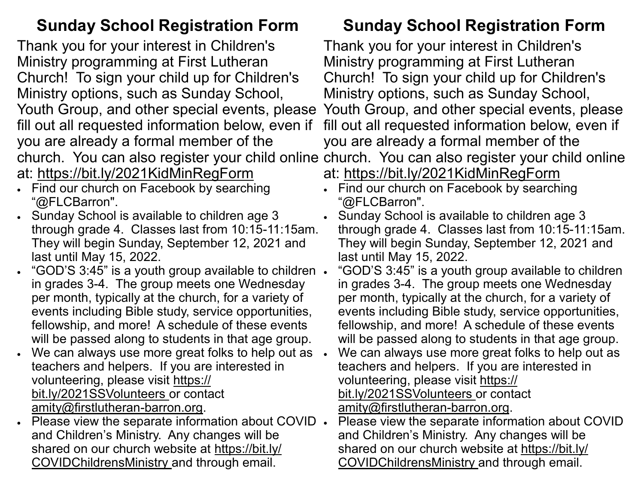## **Sunday School Registration Form**

Thank you for your interest in Children's Ministry programming at First Lutheran Church! To sign your child up for Children's Ministry options, such as Sunday School, Youth Group, and other special events, please fill out all requested information below, even if you are already a formal member of the at: https://bit.ly/2021KidMinRegForm

- Find our church on Facebook by searching "@FLCBarron".
- Sunday School is available to children age 3 through grade 4. Classes last from 10:15-11:15am. They will begin Sunday, September 12, 2021 and last until May 15, 2022.
- "GOD'S 3:45" is a youth group available to children in grades 3-4. The group meets one Wednesday per month, typically at the church, for a variety of events including Bible study, service opportunities, fellowship, and more! A schedule of these events will be passed along to students in that age group.
- We can always use more great folks to help out as  $\cdot$ teachers and helpers. If you are interested in volunteering, please visit https:// bit.ly/2021SSVolunteers or contact amity@firstlutheran-barron.org.
- Please view the separate information about COVID and Children's Ministry. Any changes will be shared on our church website at https://bit.ly/ COVIDChildrensMinistry and through email.

# **Sunday School Registration Form**

church. You can also register your child online church. You can also register your child online Thank you for your interest in Children's Ministry programming at First Lutheran Church! To sign your child up for Children's Ministry options, such as Sunday School, Youth Group, and other special events, please fill out all requested information below, even if you are already a formal member of the at: https://bit.ly/2021KidMinRegForm

- Find our church on Facebook by searching "@FLCBarron".
- Sunday School is available to children age 3 through grade 4. Classes last from 10:15-11:15am. They will begin Sunday, September 12, 2021 and last until May 15, 2022.
- "GOD'S 3:45" is a youth group available to children in grades 3-4. The group meets one Wednesday per month, typically at the church, for a variety of events including Bible study, service opportunities, fellowship, and more! A schedule of these events will be passed along to students in that age group.
- We can always use more great folks to help out as teachers and helpers. If you are interested in volunteering, please visit https:// bit.ly/2021SSVolunteers or contact amity@firstlutheran-barron.org.
- Please view the separate information about COVID and Children's Ministry. Any changes will be shared on our church website at https://bit.ly/ COVIDChildrensMinistry and through email.